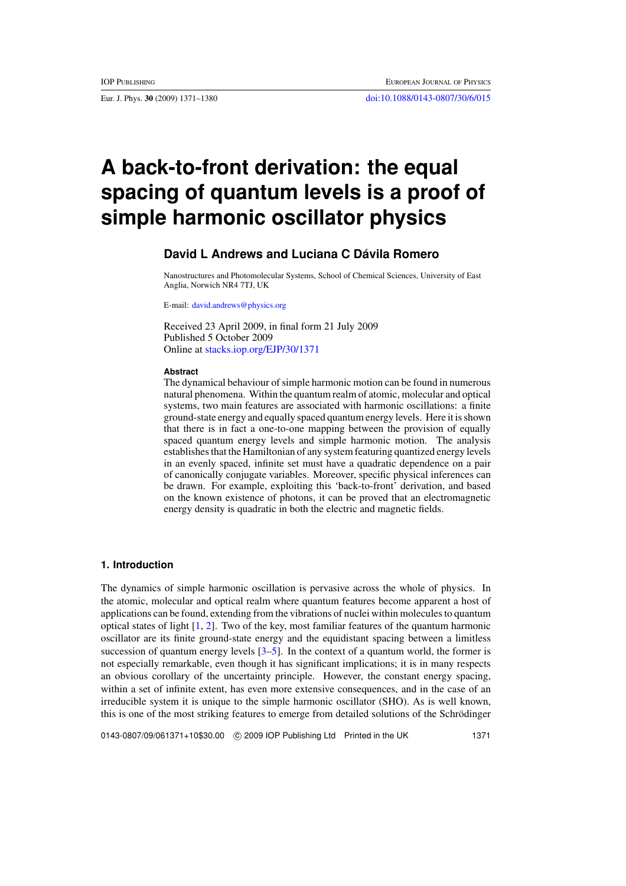# **A back-to-front derivation: the equal spacing of quantum levels is a proof of simple harmonic oscillator physics**

# **David L Andrews and Luciana C Dávila Romero**

Nanostructures and Photomolecular Systems, School of Chemical Sciences, University of East Anglia, Norwich NR4 7TJ, UK

E-mail: [david.andrews@physics.org](mailto:david.andrews@physics.org)

Received 23 April 2009, in final form 21 July 2009 Published 5 October 2009 Online at [stacks.iop.org/EJP/30/1371](http://stacks.iop.org/EJP/30/1371)

#### **Abstract**

The dynamical behaviour of simple harmonic motion can be found in numerous natural phenomena. Within the quantum realm of atomic, molecular and optical systems, two main features are associated with harmonic oscillations: a finite ground-state energy and equally spaced quantum energy levels. Here it is shown that there is in fact a one-to-one mapping between the provision of equally spaced quantum energy levels and simple harmonic motion. The analysis establishes that the Hamiltonian of any system featuring quantized energy levels in an evenly spaced, infinite set must have a quadratic dependence on a pair of canonically conjugate variables. Moreover, specific physical inferences can be drawn. For example, exploiting this 'back-to-front' derivation, and based on the known existence of photons, it can be proved that an electromagnetic energy density is quadratic in both the electric and magnetic fields.

# **1. Introduction**

The dynamics of simple harmonic oscillation is pervasive across the whole of physics. In the atomic, molecular and optical realm where quantum features become apparent a host of applications can be found, extending from the vibrations of nuclei within molecules to quantum optical states of light [\[1,](#page-8-0) [2\]](#page-8-0). Two of the key, most familiar features of the quantum harmonic oscillator are its finite ground-state energy and the equidistant spacing between a limitless succession of quantum energy levels  $[3-5]$  $[3-5]$ . In the context of a quantum world, the former is not especially remarkable, even though it has significant implications; it is in many respects an obvious corollary of the uncertainty principle. However, the constant energy spacing, within a set of infinite extent, has even more extensive consequences, and in the case of an irreducible system it is unique to the simple harmonic oscillator (SHO). As is well known, this is one of the most striking features to emerge from detailed solutions of the Schrodinger ¨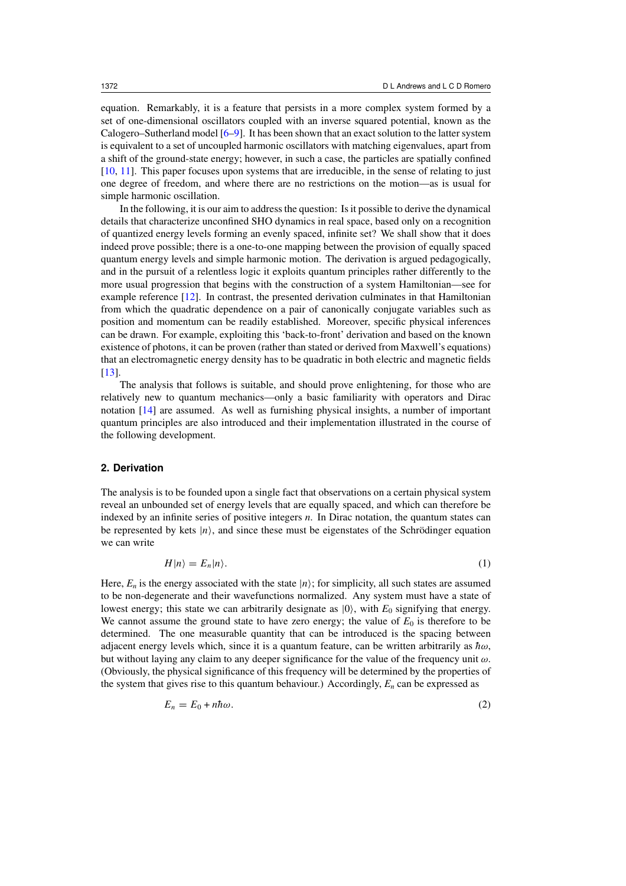<span id="page-1-0"></span>equation. Remarkably, it is a feature that persists in a more complex system formed by a set of one-dimensional oscillators coupled with an inverse squared potential, known as the Calogero–Sutherland model [\[6–9\]](#page-9-0). It has been shown that an exact solution to the latter system is equivalent to a set of uncoupled harmonic oscillators with matching eigenvalues, apart from a shift of the ground-state energy; however, in such a case, the particles are spatially confined [\[10](#page-9-0), [11](#page-9-0)]. This paper focuses upon systems that are irreducible, in the sense of relating to just one degree of freedom, and where there are no restrictions on the motion—as is usual for simple harmonic oscillation.

In the following, it is our aim to address the question: Is it possible to derive the dynamical details that characterize unconfined SHO dynamics in real space, based only on a recognition of quantized energy levels forming an evenly spaced, infinite set? We shall show that it does indeed prove possible; there is a one-to-one mapping between the provision of equally spaced quantum energy levels and simple harmonic motion. The derivation is argued pedagogically, and in the pursuit of a relentless logic it exploits quantum principles rather differently to the more usual progression that begins with the construction of a system Hamiltonian—see for example reference [\[12](#page-9-0)]. In contrast, the presented derivation culminates in that Hamiltonian from which the quadratic dependence on a pair of canonically conjugate variables such as position and momentum can be readily established. Moreover, specific physical inferences can be drawn. For example, exploiting this 'back-to-front' derivation and based on the known existence of photons, it can be proven (rather than stated or derived from Maxwell's equations) that an electromagnetic energy density has to be quadratic in both electric and magnetic fields [\[13](#page-9-0)].

The analysis that follows is suitable, and should prove enlightening, for those who are relatively new to quantum mechanics—only a basic familiarity with operators and Dirac notation [\[14](#page-9-0)] are assumed. As well as furnishing physical insights, a number of important quantum principles are also introduced and their implementation illustrated in the course of the following development.

## **2. Derivation**

The analysis is to be founded upon a single fact that observations on a certain physical system reveal an unbounded set of energy levels that are equally spaced, and which can therefore be indexed by an infinite series of positive integers *n*. In Dirac notation, the quantum states can be represented by kets  $|n\rangle$ , and since these must be eigenstates of the Schrödinger equation we can write

$$
H|n\rangle = E_n|n\rangle. \tag{1}
$$

Here,  $E_n$  is the energy associated with the state  $|n\rangle$ ; for simplicity, all such states are assumed to be non-degenerate and their wavefunctions normalized. Any system must have a state of lowest energy; this state we can arbitrarily designate as  $|0\rangle$ , with  $E_0$  signifying that energy. We cannot assume the ground state to have zero energy; the value of  $E_0$  is therefore to be determined. The one measurable quantity that can be introduced is the spacing between adjacent energy levels which, since it is a quantum feature, can be written arbitrarily as  $\hbar \omega$ , but without laying any claim to any deeper significance for the value of the frequency unit *ω*. (Obviously, the physical significance of this frequency will be determined by the properties of the system that gives rise to this quantum behaviour.) Accordingly,  $E_n$  can be expressed as

$$
E_n = E_0 + n\hbar\omega. \tag{2}
$$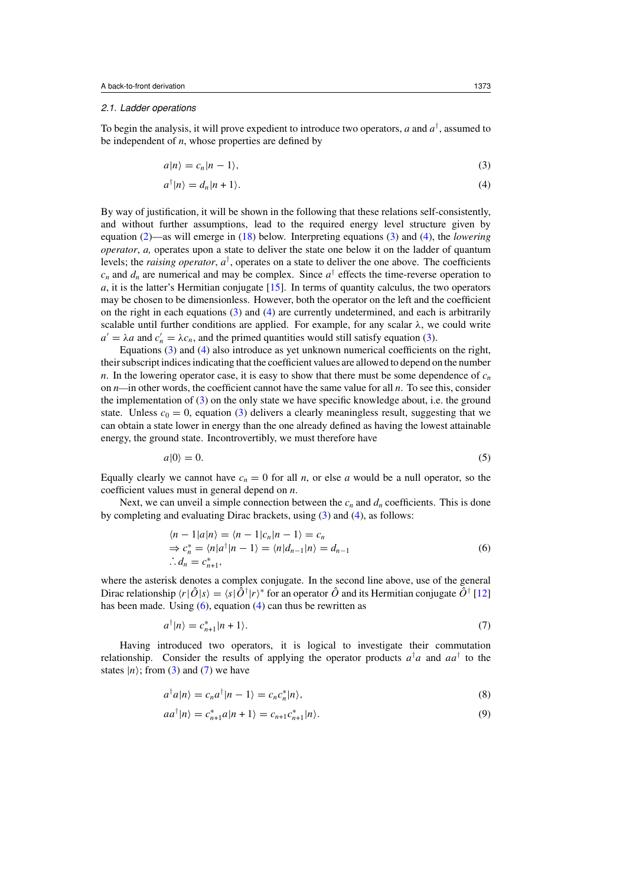#### <span id="page-2-0"></span>2.1. Ladder operations

To begin the analysis, it will prove expedient to introduce two operators,  $a$  and  $a^{\dagger}$ , assumed to be independent of *n*, whose properties are defined by

$$
a|n\rangle = c_n|n-1\rangle,\tag{3}
$$

$$
a^{\dagger}|n\rangle = d_n|n+1\rangle. \tag{4}
$$

By way of justification, it will be shown in the following that these relations self-consistently, and without further assumptions, lead to the required energy level structure given by equation [\(2\)](#page-1-0)—as will emerge in [\(18\)](#page-4-0) below. Interpreting equations (3) and (4), the *lowering operator*, *a,* operates upon a state to deliver the state one below it on the ladder of quantum levels; the *raising operator*,  $a^{\dagger}$ , operates on a state to deliver the one above. The coefficients  $c_n$  and  $d_n$  are numerical and may be complex. Since  $a^{\dagger}$  effects the time-reverse operation to *a*, it is the latter's Hermitian conjugate [\[15\]](#page-9-0). In terms of quantity calculus, the two operators may be chosen to be dimensionless. However, both the operator on the left and the coefficient on the right in each equations (3) and (4) are currently undetermined, and each is arbitrarily scalable until further conditions are applied. For example, for any scalar *λ*, we could write  $a' = \lambda a$  and  $c'_n = \lambda c_n$ , and the primed quantities would still satisfy equation (3).

Equations (3) and (4) also introduce as yet unknown numerical coefficients on the right, their subscript indices indicating that the coefficient values are allowed to depend on the number *n*. In the lowering operator case, it is easy to show that there must be some dependence of  $c<sub>n</sub>$ on *n—*in other words, the coefficient cannot have the same value for all *n*. To see this, consider the implementation of (3) on the only state we have specific knowledge about, i.e. the ground state. Unless  $c_0 = 0$ , equation (3) delivers a clearly meaningless result, suggesting that we can obtain a state lower in energy than the one already defined as having the lowest attainable energy, the ground state. Incontrovertibly, we must therefore have

$$
a|0\rangle = 0.\tag{5}
$$

Equally clearly we cannot have  $c_n = 0$  for all *n*, or else *a* would be a null operator, so the coefficient values must in general depend on *n*.

Next, we can unveil a simple connection between the  $c_n$  and  $d_n$  coefficients. This is done by completing and evaluating Dirac brackets, using (3) and (4), as follows:

$$
\langle n-1|a|n\rangle = \langle n-1|c_n|n-1\rangle = c_n
$$
  
\n
$$
\Rightarrow c_n^* = \langle n|a^{\dagger}|n-1\rangle = \langle n|d_{n-1}|n\rangle = d_{n-1}
$$
  
\n
$$
\therefore d_n = c_{n+1}^*,
$$
\n(6)

where the asterisk denotes a complex conjugate. In the second line above, use of the general Dirac relationship  $\langle r | \hat{O} | s \rangle = \langle s | \hat{O}^{\dagger} | r \rangle^*$  for an operator  $\hat{O}$  and its Hermitian conjugate  $\hat{O}^{\dagger}$  [\[12](#page-9-0)] has been made. Using  $(6)$ , equation  $(4)$  can thus be rewritten as

$$
a^{\dagger}|n\rangle = c_{n+1}^*|n+1\rangle. \tag{7}
$$

Having introduced two operators, it is logical to investigate their commutation relationship. Consider the results of applying the operator products  $a^{\dagger}a$  and  $aa^{\dagger}$  to the states  $|n\rangle$ ; from (3) and (7) we have

$$
a^{\dagger}a|n\rangle = c_n a^{\dagger}|n-1\rangle = c_n c_n^*|n\rangle,
$$
\n(8)

$$
aa^{\dagger}|n\rangle = c_{n+1}^{*}a|n+1\rangle = c_{n+1}c_{n+1}^{*}|n\rangle.
$$
\n(9)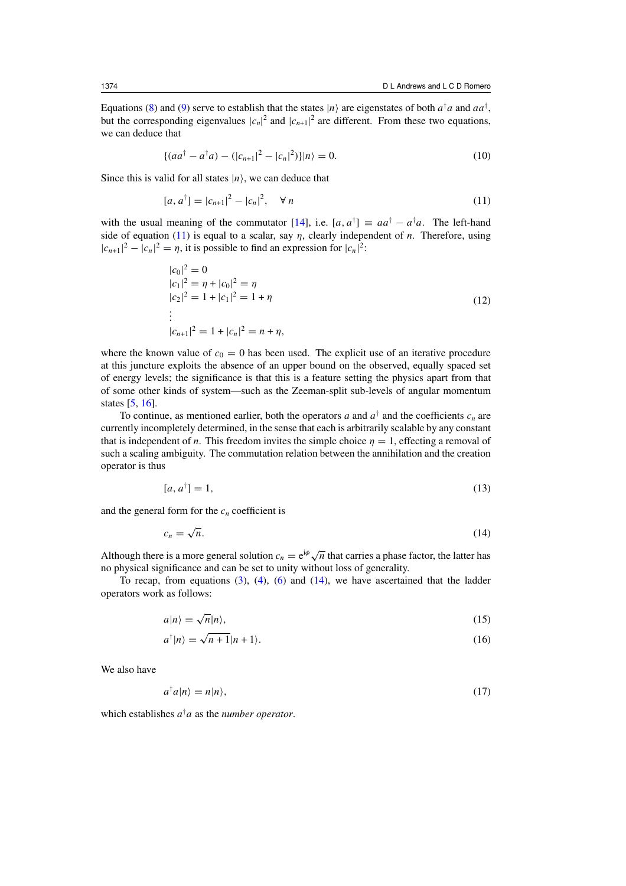<span id="page-3-0"></span>Equations [\(8\)](#page-2-0) and [\(9\)](#page-2-0) serve to establish that the states  $|n\rangle$  are eigenstates of both  $a^{\dagger}a$  and  $aa^{\dagger}$ , but the corresponding eigenvalues  $|c_n|^2$  and  $|c_{n+1}|^2$  are different. From these two equations, we can deduce that

$$
\{(aa^{\dagger} - a^{\dagger}a) - (|c_{n+1}|^2 - |c_n|^2)\}|n\rangle = 0.
$$
\n(10)

Since this is valid for all states  $|n\rangle$ , we can deduce that

$$
[a, a^{\dagger}] = |c_{n+1}|^2 - |c_n|^2, \quad \forall n
$$
\n(11)

with the usual meaning of the commutator  $[14]$ , i.e.  $[a, a^{\dagger}] \equiv aa^{\dagger} - a^{\dagger}a$ . The left-hand side of equation (11) is equal to a scalar, say *η*, clearly independent of *n*. Therefore, using  $|c_{n+1}|^2 - |c_n|^2 = \eta$ , it is possible to find an expression for  $|c_n|^2$ .

$$
|c_0|^2 = 0
$$
  
\n
$$
|c_1|^2 = \eta + |c_0|^2 = \eta
$$
  
\n
$$
|c_2|^2 = 1 + |c_1|^2 = 1 + \eta
$$
  
\n
$$
\vdots
$$
  
\n
$$
|c_{n+1}|^2 = 1 + |c_n|^2 = n + \eta,
$$
\n(12)

where the known value of  $c_0 = 0$  has been used. The explicit use of an iterative procedure at this juncture exploits the absence of an upper bound on the observed, equally spaced set of energy levels; the significance is that this is a feature setting the physics apart from that of some other kinds of system—such as the Zeeman-split sub-levels of angular momentum states [\[5,](#page-9-0) [16\]](#page-9-0).

To continue, as mentioned earlier, both the operators *a* and  $a^{\dagger}$  and the coefficients  $c_n$  are currently incompletely determined, in the sense that each is arbitrarily scalable by any constant that is independent of *n*. This freedom invites the simple choice  $\eta = 1$ , effecting a removal of such a scaling ambiguity. The commutation relation between the annihilation and the creation operator is thus

$$
[a, a^{\dagger}] = 1,\tag{13}
$$

and the general form for the  $c_n$  coefficient is

$$
c_n = \sqrt{n}.\tag{14}
$$

Although there is a more general solution  $c_n = e^{i\phi} \sqrt{n}$  that carries a phase factor, the latter has no physical significance and can be set to unity without loss of generality.

To recap, from equations  $(3)$ ,  $(4)$ ,  $(6)$  and  $(14)$ , we have ascertained that the ladder operators work as follows:

$$
a|n\rangle = \sqrt{n}|n\rangle,\tag{15}
$$

$$
a^{\dagger}|n\rangle = \sqrt{n+1}|n+1\rangle.
$$
 (16)

We also have

$$
a^{\dagger}a|n\rangle = n|n\rangle, \tag{17}
$$

which establishes  $a^{\dagger}a$  as the *number operator*.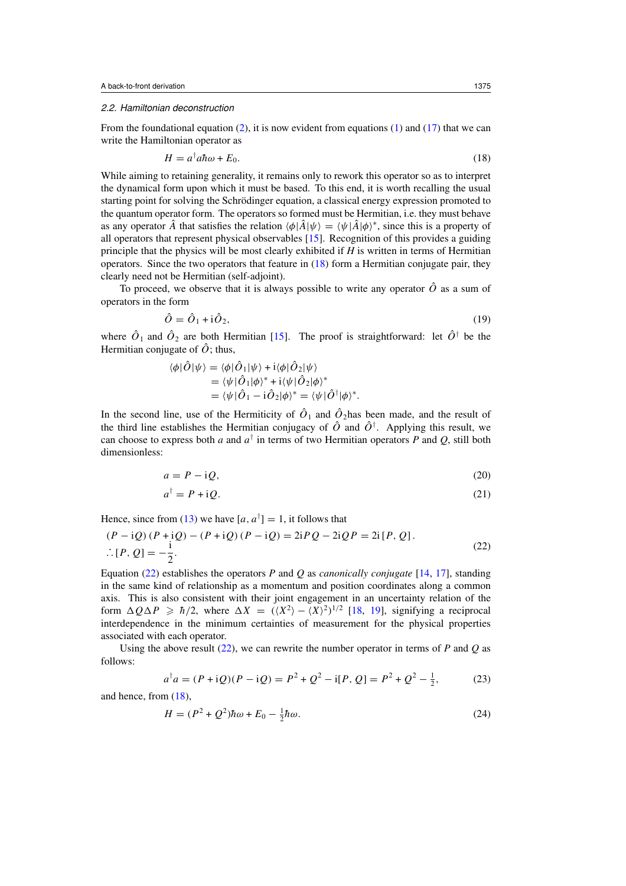#### <span id="page-4-0"></span>2.2. Hamiltonian deconstruction

From the foundational equation  $(2)$ , it is now evident from equations  $(1)$  and  $(17)$  that we can write the Hamiltonian operator as

$$
H = a^{\dagger} a \hbar \omega + E_0. \tag{18}
$$

While aiming to retaining generality, it remains only to rework this operator so as to interpret the dynamical form upon which it must be based. To this end, it is worth recalling the usual starting point for solving the Schrödinger equation, a classical energy expression promoted to the quantum operator form. The operators so formed must be Hermitian, i.e. they must behave as any operator  $\hat{A}$  that satisfies the relation  $\langle \phi | \hat{A} | \psi \rangle = \langle \psi | \hat{A} | \phi \rangle^*$ , since this is a property of all operators that represent physical observables [\[15](#page-9-0)]. Recognition of this provides a guiding principle that the physics will be most clearly exhibited if *H* is written in terms of Hermitian operators. Since the two operators that feature in (18) form a Hermitian conjugate pair, they clearly need not be Hermitian (self-adjoint).

To proceed, we observe that it is always possible to write any operator  $\hat{O}$  as a sum of operators in the form

$$
\hat{O} = \hat{O}_1 + \mathrm{i}\hat{O}_2,\tag{19}
$$

where  $\hat{O}_1$  and  $\hat{O}_2$  are both Hermitian [\[15](#page-9-0)]. The proof is straightforward: let  $\hat{O}^{\dagger}$  be the Hermitian conjugate of  $\hat{O}$ ; thus,

$$
\langle \phi | \hat{O} | \psi \rangle = \langle \phi | \hat{O}_1 | \psi \rangle + i \langle \phi | \hat{O}_2 | \psi \rangle
$$
  
= 
$$
\langle \psi | \hat{O}_1 | \phi \rangle^* + i \langle \psi | \hat{O}_2 | \phi \rangle^*
$$
  
= 
$$
\langle \psi | \hat{O}_1 - i \hat{O}_2 | \phi \rangle^* = \langle \psi | \hat{O}^\dagger | \phi \rangle^*.
$$

In the second line, use of the Hermiticity of  $\hat{O}_1$  and  $\hat{O}_2$  has been made, and the result of the third line establishes the Hermitian conjugacy of  $\hat{O}$  and  $\hat{O}^{\dagger}$ . Applying this result, we can choose to express both *a* and  $a^{\dagger}$  in terms of two Hermitian operators *P* and *Q*, still both dimensionless:

$$
a = P - iQ,\tag{20}
$$

$$
a^{\dagger} = P + \mathrm{i}Q. \tag{21}
$$

Hence, since from [\(13\)](#page-3-0) we have  $[a, a^{\dagger}] = 1$ , it follows that

$$
(P - iQ) (P + iQ) - (P + iQ) (P - iQ) = 2iPQ - 2iQP = 2i[P, Q].
$$
  
∴ [P, Q] = - $\frac{i}{2}$ . (22)

Equation (22) establishes the operators *P* and *Q* as *canonically conjugate* [\[14](#page-9-0), [17\]](#page-9-0), standing in the same kind of relationship as a momentum and position coordinates along a common axis. This is also consistent with their joint engagement in an uncertainty relation of the form  $\Delta Q \Delta P \ge \hbar/2$ , where  $\Delta X = (\langle X^2 \rangle - \langle X \rangle^2)^{1/2}$  [\[18](#page-9-0), [19\]](#page-9-0), signifying a reciprocal interdependence in the minimum certainties of measurement for the physical properties associated with each operator.

Using the above result (22), we can rewrite the number operator in terms of *P* and *Q* as follows:

$$
a^{\dagger}a = (P + iQ)(P - iQ) = P^2 + Q^2 - i[P, Q] = P^2 + Q^2 - \frac{1}{2},
$$
 (23)

and hence, from (18),

$$
H = (P2 + Q2)\hbar\omega + E_0 - \frac{1}{2}\hbar\omega.
$$
 (24)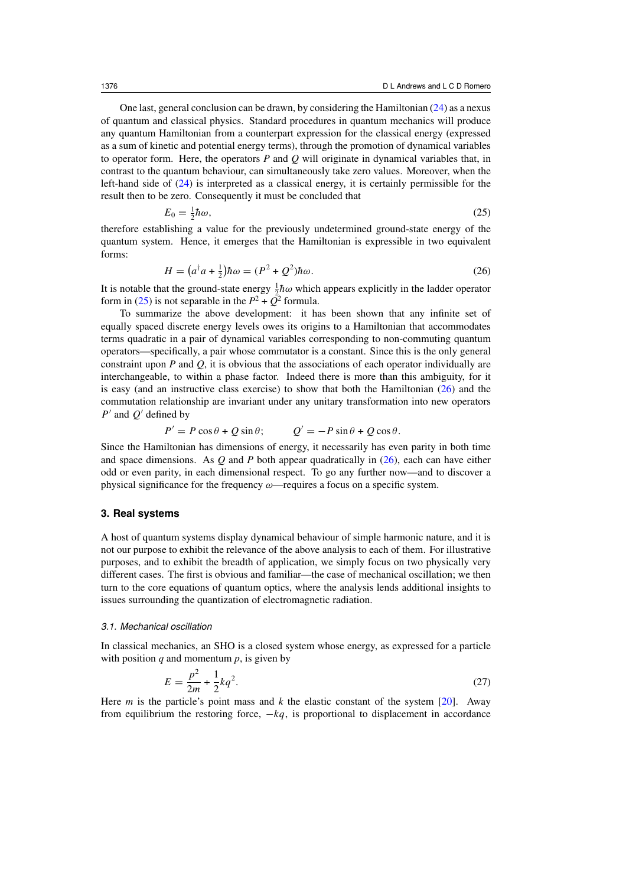<span id="page-5-0"></span>One last, general conclusion can be drawn, by considering the Hamiltonian [\(24\)](#page-4-0) as a nexus of quantum and classical physics. Standard procedures in quantum mechanics will produce any quantum Hamiltonian from a counterpart expression for the classical energy (expressed as a sum of kinetic and potential energy terms), through the promotion of dynamical variables to operator form. Here, the operators *P* and *Q* will originate in dynamical variables that, in contrast to the quantum behaviour, can simultaneously take zero values. Moreover, when the left-hand side of [\(24\)](#page-4-0) is interpreted as a classical energy, it is certainly permissible for the result then to be zero. Consequently it must be concluded that

$$
E_0 = \frac{1}{2}\hbar\omega,\tag{25}
$$

therefore establishing a value for the previously undetermined ground-state energy of the quantum system. Hence, it emerges that the Hamiltonian is expressible in two equivalent forms:

$$
H = \left(a^{\dagger}a + \frac{1}{2}\right)\hbar\omega = \left(P^2 + Q^2\right)\hbar\omega. \tag{26}
$$

It is notable that the ground-state energy  $\frac{1}{2} \hbar \omega$  which appears explicitly in the ladder operator form in (25) is not separable in the  $P^2 + \overrightarrow{Q}^2$  formula.

To summarize the above development: it has been shown that any infinite set of equally spaced discrete energy levels owes its origins to a Hamiltonian that accommodates terms quadratic in a pair of dynamical variables corresponding to non-commuting quantum operators—specifically, a pair whose commutator is a constant. Since this is the only general constraint upon  $P$  and  $Q$ , it is obvious that the associations of each operator individually are interchangeable, to within a phase factor. Indeed there is more than this ambiguity, for it is easy (and an instructive class exercise) to show that both the Hamiltonian (26) and the commutation relationship are invariant under any unitary transformation into new operators  $P'$  and  $Q'$  defined by

$$
P' = P\cos\theta + Q\sin\theta; \qquad Q' = -P\sin\theta + Q\cos\theta.
$$

Since the Hamiltonian has dimensions of energy, it necessarily has even parity in both time and space dimensions. As *Q* and *P* both appear quadratically in (26), each can have either odd or even parity, in each dimensional respect. To go any further now—and to discover a physical significance for the frequency *ω*—requires a focus on a specific system.

### **3. Real systems**

A host of quantum systems display dynamical behaviour of simple harmonic nature, and it is not our purpose to exhibit the relevance of the above analysis to each of them. For illustrative purposes, and to exhibit the breadth of application, we simply focus on two physically very different cases. The first is obvious and familiar—the case of mechanical oscillation; we then turn to the core equations of quantum optics, where the analysis lends additional insights to issues surrounding the quantization of electromagnetic radiation.

# 3.1. Mechanical oscillation

In classical mechanics, an SHO is a closed system whose energy, as expressed for a particle with position  $q$  and momentum  $p$ , is given by

$$
E = \frac{p^2}{2m} + \frac{1}{2}kq^2.
$$
 (27)

Here *m* is the particle's point mass and *k* the elastic constant of the system [\[20\]](#page-9-0). Away from equilibrium the restoring force,  $-kq$ , is proportional to displacement in accordance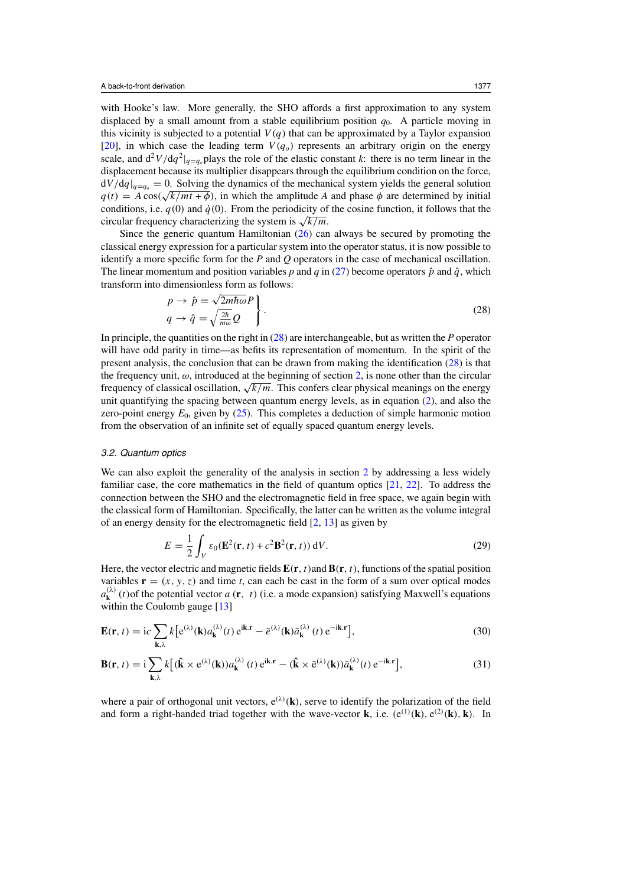<span id="page-6-0"></span>with Hooke's law. More generally, the SHO affords a first approximation to any system displaced by a small amount from a stable equilibrium position  $q_0$ . A particle moving in this vicinity is subjected to a potential  $V(q)$  that can be approximated by a Taylor expansion [\[20](#page-9-0)], in which case the leading term  $V(q_o)$  represents an arbitrary origin on the energy scale, and  $d^2V/dq^2|_{q=q_o}$  plays the role of the elastic constant *k*: there is no term linear in the displacement because its multiplier disappears through the equilibrium condition on the force,  $dV/dq|_{q=q_0} = 0$ . Solving the dynamics of the mechanical system yields the general solution  $q(t) = A \cos(\sqrt{k/mt + \phi})$ , in which the amplitude *A* and phase  $\phi$  are determined by initial conditions, i.e.  $q(0)$  and  $\dot{q}(0)$ . From the periodicity of the cosine function, it follows that the circular frequency characterizing the system is  $\sqrt{k/m}$ .

Since the generic quantum Hamiltonian [\(26\)](#page-5-0) can always be secured by promoting the classical energy expression for a particular system into the operator status, it is now possible to identify a more specific form for the *P* and *Q* operators in the case of mechanical oscillation. The linear momentum and position variables *p* and *q* in [\(27\)](#page-5-0) become operators  $\hat{p}$  and  $\hat{q}$ , which transform into dimensionless form as follows:<br> $p \to \hat{p} = \sqrt{2m\hbar\omega}P$ 

$$
p \to \hat{p} = \sqrt{2m\hbar\omega P} q \to \hat{q} = \sqrt{\frac{2\hbar}{m\omega}Q}.
$$
 (28)

In principle, the quantities on the right in (28) are interchangeable, but as written the *P* operator will have odd parity in time—as befits its representation of momentum. In the spirit of the present analysis, the conclusion that can be drawn from making the identification (28) is that the frequency unit,  $\omega$ , introduced at the beginning of section [2,](#page-1-0) is none other than the circular frequency of classical oscillation, <sup>√</sup>*k/m*. This confers clear physical meanings on the energy unit quantifying the spacing between quantum energy levels, as in equation [\(2\)](#page-1-0), and also the zero-point energy  $E_0$ , given by [\(25\)](#page-5-0). This completes a deduction of simple harmonic motion from the observation of an infinite set of equally spaced quantum energy levels.

## 3.2. Quantum optics

We can also exploit the generality of the analysis in section [2](#page-1-0) by addressing a less widely familiar case, the core mathematics in the field of quantum optics [\[21](#page-9-0), [22](#page-9-0)]. To address the connection between the SHO and the electromagnetic field in free space, we again begin with the classical form of Hamiltonian. Specifically, the latter can be written as the volume integral of an energy density for the electromagnetic field [\[2,](#page-8-0) [13\]](#page-9-0) as given by

$$
E = \frac{1}{2} \int_{V} \varepsilon_0 (\mathbf{E}^2(\mathbf{r}, t) + c^2 \mathbf{B}^2(\mathbf{r}, t)) dV.
$$
 (29)

Here, the vector electric and magnetic fields  $\mathbf{E}(\mathbf{r},t)$  and  $\mathbf{B}(\mathbf{r},t)$ , functions of the spatial position variables  $\mathbf{r} = (x, y, z)$  and time *t*, can each be cast in the form of a sum over optical modes  $a_{\mathbf{k}}^{(\lambda)}(t)$  of the potential vector *a* (**r***, t*) (i.e. a mode expansion) satisfying Maxwell's equations within the Coulomb gauge [\[13\]](#page-9-0)

$$
\mathbf{E}(\mathbf{r},t) = i c \sum_{\mathbf{k},\lambda} k \left[ e^{(\lambda)}(\mathbf{k}) a_{\mathbf{k}}^{(\lambda)}(t) e^{i\mathbf{k} \cdot \mathbf{r}} - \bar{e}^{(\lambda)}(\mathbf{k}) \bar{a}_{\mathbf{k}}^{(\lambda)}(t) e^{-i\mathbf{k} \cdot \mathbf{r}} \right],
$$
(30)

$$
\mathbf{B}(\mathbf{r},t) = \mathbf{i} \sum_{\mathbf{k},\lambda} k \big[ (\hat{\mathbf{k}} \times \mathbf{e}^{(\lambda)}(\mathbf{k})) a_{\mathbf{k}}^{(\lambda)}(t) e^{\mathbf{i}\mathbf{k} \cdot \mathbf{r}} - (\hat{\mathbf{k}} \times \bar{\mathbf{e}}^{(\lambda)}(\mathbf{k})) \bar{a}_{\mathbf{k}}^{(\lambda)}(t) e^{-\mathbf{i}\mathbf{k} \cdot \mathbf{r}} \big],\tag{31}
$$

where a pair of orthogonal unit vectors,  $e^{(\lambda)}(\mathbf{k})$ , serve to identify the polarization of the field and form a right-handed triad together with the wave-vector **k**, i.e.  $(e^{(1)}(\mathbf{k}), e^{(2)}(\mathbf{k}), \mathbf{k})$ . In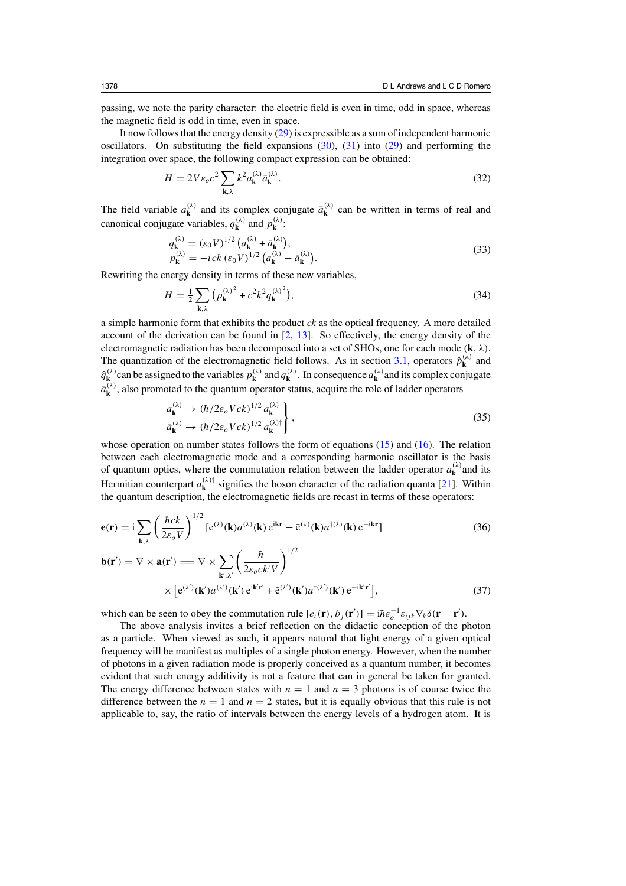passing, we note the parity character: the electric field is even in time, odd in space, whereas the magnetic field is odd in time, even in space.

It now follows that the energy density  $(29)$  is expressible as a sum of independent harmonic oscillators. On substituting the field expansions [\(30\)](#page-6-0), [\(31\)](#page-6-0) into [\(29\)](#page-6-0) and performing the integration over space, the following compact expression can be obtained:

$$
H = 2V\varepsilon_o c^2 \sum_{\mathbf{k},\lambda} k^2 a_{\mathbf{k}}^{(\lambda)} \bar{a}_{\mathbf{k}}^{(\lambda)}.
$$
 (32)

The field variable  $a_k^{(\lambda)}$  and its complex conjugate  $\bar{a}_k^{(\lambda)}$  can be written in terms of real and canonical conjugate variables,  $q_{\mathbf{k}}^{(\lambda)}$  and  $p_{\mathbf{k}}^{(\lambda)}$ :

$$
q_{\mathbf{k}}^{(\lambda)} = (\varepsilon_0 V)^{1/2} (a_{\mathbf{k}}^{(\lambda)} + \bar{a}_{\mathbf{k}}^{(\lambda)}),
$$
  
\n
$$
p_{\mathbf{k}}^{(\lambda)} = -ick (\varepsilon_0 V)^{1/2} (a_{\mathbf{k}}^{(\lambda)} - \bar{a}_{\mathbf{k}}^{(\lambda)}).
$$
\n(33)

Rewriting the energy density in terms of these new variables,

$$
H = \frac{1}{2} \sum_{\mathbf{k}, \lambda} \left( p_{\mathbf{k}}^{(\lambda)^2} + c^2 k^2 q_{\mathbf{k}}^{(\lambda)^2} \right),\tag{34}
$$

a simple harmonic form that exhibits the product *ck* as the optical frequency. A more detailed account of the derivation can be found in [\[2](#page-8-0), [13](#page-9-0)]. So effectively, the energy density of the electromagnetic radiation has been decomposed into a set of SHOs, one for each mode *(***k***, λ)*. The quantization of the electromagnetic field follows. As in section [3.1,](#page-5-0) operators  $\hat{p}_{\mathbf{k}}^{(\lambda)}$  and  $\hat{q}_k^{(\lambda)}$  can be assigned to the variables  $p_k^{(\lambda)}$  and  $q_k^{(\lambda)}$ . In consequence  $a_k^{(\lambda)}$  and its complex conjugate  $\bar{a}_{\mathbf{k}}^{(\lambda)}$ , also promoted to the quantum operator status, acquire the role of ladder operators

$$
\begin{aligned}\n a_{\mathbf{k}}^{(\lambda)} &\to (\hbar/2\varepsilon_o Vck)^{1/2} a_{\mathbf{k}}^{(\lambda)} \\
\bar{a}_{\mathbf{k}}^{(\lambda)} &\to (\hbar/2\varepsilon_o Vck)^{1/2} a_{\mathbf{k}}^{(\lambda)\dagger}\n \end{aligned}\n \tag{35}
$$

whose operation on number states follows the form of equations [\(15\)](#page-3-0) and [\(16\)](#page-3-0). The relation between each electromagnetic mode and a corresponding harmonic oscillator is the basis of quantum optics, where the commutation relation between the ladder operator  $a_k^{(\lambda)}$  and its Hermitian counterpart  $a_{\mathbf{k}}^{(\lambda)}$  signifies the boson character of the radiation quanta [\[21\]](#page-9-0). Within the quantum description, the electromagnetic fields are recast in terms of these operators:

$$
\mathbf{e}(\mathbf{r}) = \mathbf{i} \sum_{\mathbf{k},\lambda} \left( \frac{\hbar ck}{2\varepsilon_o V} \right)^{1/2} \left[ e^{(\lambda)}(\mathbf{k}) a^{(\lambda)}(\mathbf{k}) e^{i\mathbf{k}\mathbf{r}} - \bar{e}^{(\lambda)}(\mathbf{k}) a^{\dagger(\lambda)}(\mathbf{k}) e^{-i\mathbf{k}\mathbf{r}} \right]
$$
(36)  

$$
\mathbf{b}(\mathbf{r}') = \nabla \times \mathbf{a}(\mathbf{r}') = \nabla \times \sum_{\mathbf{k}',\lambda'} \left( \frac{\hbar}{2\varepsilon_o ck'V} \right)^{1/2}
$$

$$
\times \left[ e^{(\lambda')}(\mathbf{k}') a^{(\lambda')}(\mathbf{k}') e^{i\mathbf{k}'\mathbf{r}'} + \bar{e}^{(\lambda')}(\mathbf{k}') a^{\dagger(\lambda')}(\mathbf{k}') e^{-i\mathbf{k}'\mathbf{r}'} \right],
$$
(37)

which can be seen to obey the commutation rule  $[e_i(\mathbf{r}), b_j(\mathbf{r}')] = i\hbar \varepsilon_o^{-1} \varepsilon_{ijk} \nabla_k \delta(\mathbf{r} - \mathbf{r}').$ 

The above analysis invites a brief reflection on the didactic conception of the photon as a particle. When viewed as such, it appears natural that light energy of a given optical frequency will be manifest as multiples of a single photon energy. However, when the number of photons in a given radiation mode is properly conceived as a quantum number, it becomes evident that such energy additivity is not a feature that can in general be taken for granted. The energy difference between states with  $n = 1$  and  $n = 3$  photons is of course twice the difference between the  $n = 1$  and  $n = 2$  states, but it is equally obvious that this rule is not applicable to, say, the ratio of intervals between the energy levels of a hydrogen atom. It is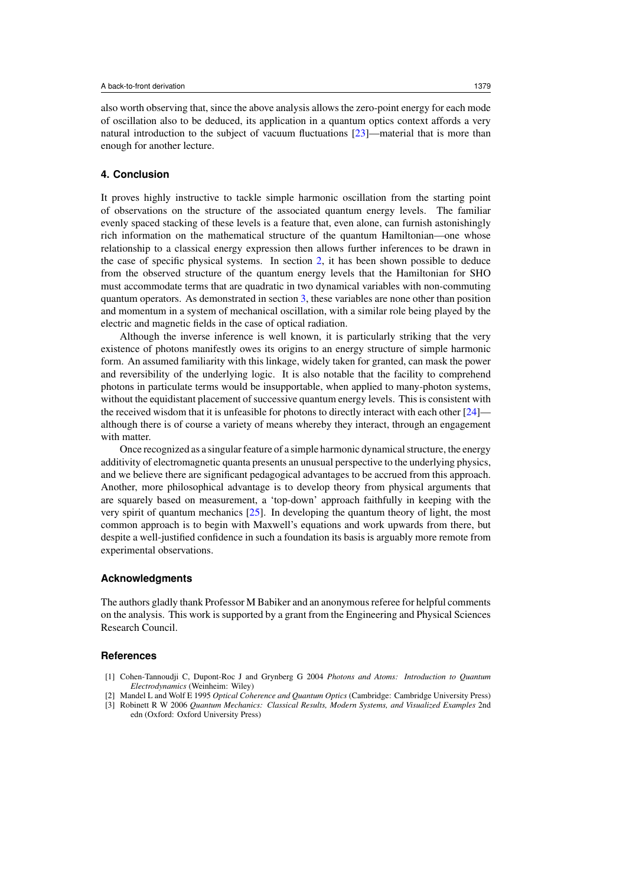<span id="page-8-0"></span>also worth observing that, since the above analysis allows the zero-point energy for each mode of oscillation also to be deduced, its application in a quantum optics context affords a very natural introduction to the subject of vacuum fluctuations [\[23\]](#page-9-0)—material that is more than enough for another lecture.

## **4. Conclusion**

It proves highly instructive to tackle simple harmonic oscillation from the starting point of observations on the structure of the associated quantum energy levels. The familiar evenly spaced stacking of these levels is a feature that, even alone, can furnish astonishingly rich information on the mathematical structure of the quantum Hamiltonian—one whose relationship to a classical energy expression then allows further inferences to be drawn in the case of specific physical systems. In section [2,](#page-1-0) it has been shown possible to deduce from the observed structure of the quantum energy levels that the Hamiltonian for SHO must accommodate terms that are quadratic in two dynamical variables with non-commuting quantum operators. As demonstrated in section [3,](#page-5-0) these variables are none other than position and momentum in a system of mechanical oscillation, with a similar role being played by the electric and magnetic fields in the case of optical radiation.

Although the inverse inference is well known, it is particularly striking that the very existence of photons manifestly owes its origins to an energy structure of simple harmonic form. An assumed familiarity with this linkage, widely taken for granted, can mask the power and reversibility of the underlying logic. It is also notable that the facility to comprehend photons in particulate terms would be insupportable, when applied to many-photon systems, without the equidistant placement of successive quantum energy levels. This is consistent with the received wisdom that it is unfeasible for photons to directly interact with each other [\[24](#page-9-0)] although there is of course a variety of means whereby they interact, through an engagement with matter.

Once recognized as a singular feature of a simple harmonic dynamical structure, the energy additivity of electromagnetic quanta presents an unusual perspective to the underlying physics, and we believe there are significant pedagogical advantages to be accrued from this approach. Another, more philosophical advantage is to develop theory from physical arguments that are squarely based on measurement, a 'top-down' approach faithfully in keeping with the very spirit of quantum mechanics [\[25](#page-9-0)]. In developing the quantum theory of light, the most common approach is to begin with Maxwell's equations and work upwards from there, but despite a well-justified confidence in such a foundation its basis is arguably more remote from experimental observations.

#### **Acknowledgments**

The authors gladly thank Professor M Babiker and an anonymous referee for helpful comments on the analysis. This work is supported by a grant from the Engineering and Physical Sciences Research Council.

### **References**

- [1] Cohen-Tannoudji C, Dupont-Roc J and Grynberg G 2004 *Photons and Atoms: Introduction to Quantum Electrodynamics* (Weinheim: Wiley)
- [2] Mandel L and Wolf E 1995 *Optical Coherence and Quantum Optics* (Cambridge: Cambridge University Press) [3] Robinett R W 2006 *Quantum Mechanics: Classical Results, Modern Systems, and Visualized Examples* 2nd edn (Oxford: Oxford University Press)